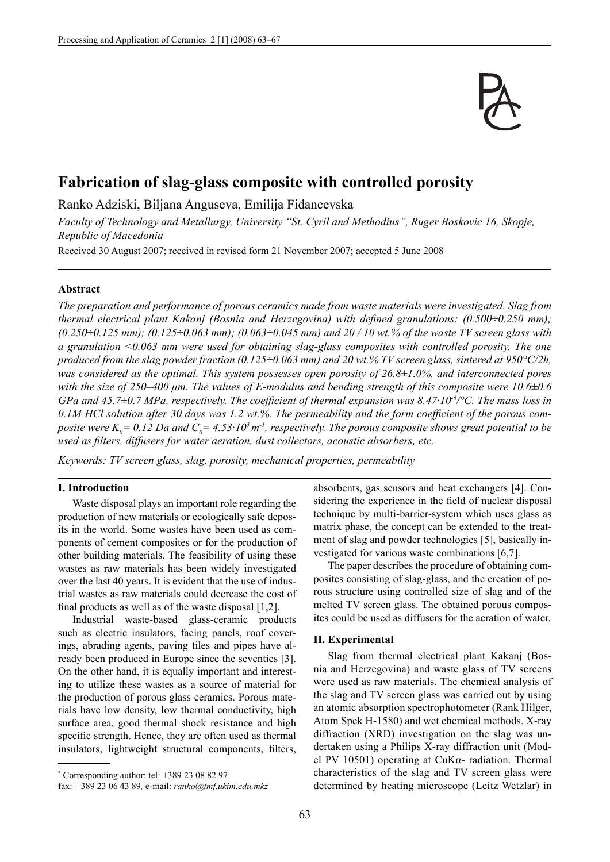

# **Fabrication of slag-glass composite with controlled porosity**

Ranko Adziski, Biljana Anguseva, Emilija Fidancevska

*Faculty of Technology and Metallurgy, University "St. Cyril and Methodius", Ruger Boskovic 16, Skopje, Republic of Macedonia*

Received 30 August 2007; received in revised form 21 November 2007; accepted 5 June 2008

#### **Abstract**

*The preparation and performance of porous ceramics made from waste materials were investigated. Slag from thermal electrical plant Kakanj (Bosnia and Herzegovina) with defined granulations: (0.500÷0.250 mm); (0.250÷0.125 mm); (0.125÷0.063 mm); (0.063÷0.045 mm) and 20 / 10 wt.% of the waste TV screen glass with a granulation <0.063 mm were used for obtaining slag-glass composites with controlled porosity. The one produced from the slag powder fraction (0.125÷0.063 mm) and 20 wt.% TV screen glass, sintered at 950°C/2h, was considered as the optimal. This system possesses open porosity of 26.8±1.0%, and interconnected pores with the size of 250–400 μm. The values of E-modulus and bending strength of this composite were 10.6±0.6 GPa and 45.7±0.7 MPa, respectively. The coefficient of thermal expansion was 8.47·10<sup>-6</sup>/°C. The mass loss in* 0.1M HCl solution after 30 days was 1.2 wt.%. The permeability and the form coefficient of the porous composite were  $K_0$  = 0.12 Da and  $C_0$  = 4.53·10<sup>5</sup> m<sup>-1</sup>, respectively. The porous composite shows great potential to be used as filters, diffusers for water aeration, dust collectors, acoustic absorbers, etc.

*Keywords: TV screen glass, slag, porosity, mechanical properties, permeability*

# **I. Introduction**

Waste disposal plays an important role regarding the production of new materials or ecologically safe deposits in the world. Some wastes have been used as components of cement composites or for the production of other building materials. The feasibility of using these wastes as raw materials has been widely investigated over the last 40 years. It is evident that the use of industrial wastes as raw materials could decrease the cost of final products as well as of the waste disposal  $[1,2]$ .

Industrial waste-based glass-ceramic products such as electric insulators, facing panels, roof coverings, abrading agents, paving tiles and pipes have already been produced in Europe since the seventies [3]. On the other hand, it is equally important and interesting to utilize these wastes as a source of material for the production of porous glass ceramics. Porous materials have low density, low thermal conductivity, high surface area, good thermal shock resistance and high specific strength. Hence, they are often used as thermal insulators, lightweight structural components, filters,

absorbents, gas sensors and heat exchangers [4]. Considering the experience in the field of nuclear disposal technique by multi-barrier-system which uses glass as matrix phase, the concept can be extended to the treatment of slag and powder technologies [5], basically investigated for various waste combinations [6,7].

The paper describes the procedure of obtaining composites consisting of slag-glass, and the creation of porous structure using controlled size of slag and of the melted TV screen glass. The obtained porous composites could be used as diffusers for the aeration of water.

#### **II. Experimental**

Slag from thermal electrical plant Kakanj (Bosnia and Herzegovina) and waste glass of TV screens were used as raw materials. The chemical analysis of the slag and TV screen glass was carried out by using an atomic absorption spectrophotometer (Rank Hilger, Atom Spek H-1580) and wet chemical methods. X-ray diffraction (XRD) investigation on the slag was undertaken using a Philips X-ray diffraction unit (Model PV 10501) operating at CuKα- radiation. Thermal characteristics of the slag and TV screen glass were determined by heating microscope (Leitz Wetzlar) in

<sup>\*</sup> Corresponding author: tel: +389 23 08 82 97

fax: *+*389 23 06 43 89*,* e-mail: *ranko@tmf.ukim.edu.mkz*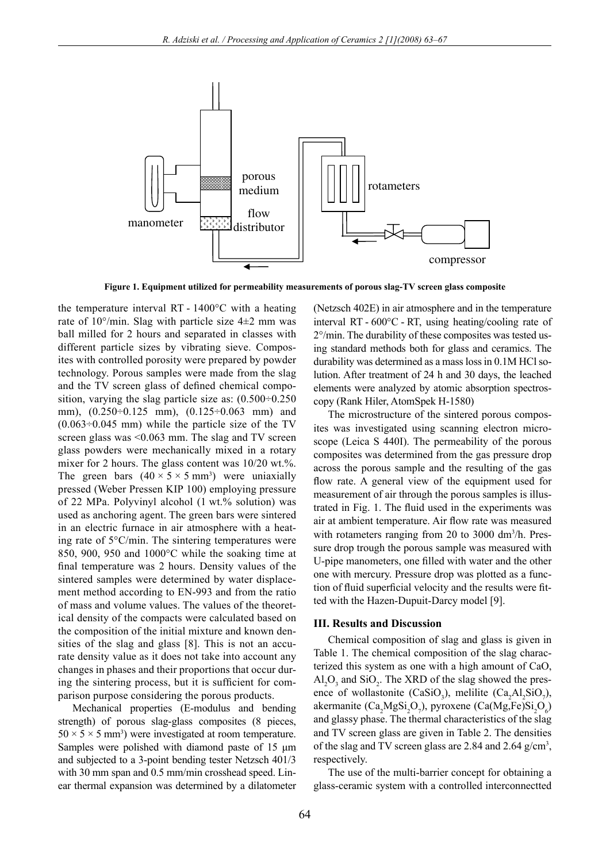

**Figure 1. Equipment utilized for permeability measurements of porous slag-TV screen glass composite**

the temperature interval RT - 1400°C with a heating rate of  $10^{\circ}/\text{min}$ . Slag with particle size  $4\pm 2$  mm was ball milled for 2 hours and separated in classes with different particle sizes by vibrating sieve. Composites with controlled porosity were prepared by powder technology. Porous samples were made from the slag and the TV screen glass of defined chemical composition, varying the slag particle size as: (0.500÷0.250 mm), (0.250÷0.125 mm), (0.125÷0.063 mm) and  $(0.063 \div 0.045$  mm) while the particle size of the TV screen glass was <0.063 mm. The slag and TV screen glass powders were mechanically mixed in a rotary mixer for 2 hours. The glass content was 10/20 wt.%. The green bars  $(40 \times 5 \times 5 \text{ mm}^3)$  were uniaxially pressed (Weber Pressen KIP 100) employing pressure of 22 MPa. Polyvinyl alcohol (1 wt.% solution) was used as anchoring agent. The green bars were sintered in an electric furnace in air atmosphere with a heating rate of 5°C/min. The sintering temperatures were 850, 900, 950 and 1000°C while the soaking time at final temperature was 2 hours. Density values of the sintered samples were determined by water displacement method according to EN-993 and from the ratio of mass and volume values. The values of the theoretical density of the compacts were calculated based on the composition of the initial mixture and known densities of the slag and glass [8]. This is not an accurate density value as it does not take into account any changes in phases and their proportions that occur during the sintering process, but it is sufficient for comparison purpose considering the porous products.

Mechanical properties (E-modulus and bending strength) of porous slag-glass composites (8 pieces,  $50 \times 5 \times 5$  mm<sup>3</sup>) were investigated at room temperature. Samples were polished with diamond paste of 15 μm and subjected to a 3-point bending tester Netzsch 401/3 with 30 mm span and 0.5 mm/min crosshead speed. Linear thermal expansion was determined by a dilatometer

(Netzsch 402E) in air atmosphere and in the temperature interval RT - 600°C - RT, using heating/cooling rate of 2°/min. The durability of these composites was tested using standard methods both for glass and ceramics. The durability was determined as a mass loss in 0.1M HCl solution. After treatment of 24 h and 30 days, the leached elements were analyzed by atomic absorption spectroscopy (Rank Hiler, AtomSpek H-1580)

The microstructure of the sintered porous composites was investigated using scanning electron microscope (Leica S 440I). The permeability of the porous composites was determined from the gas pressure drop across the porous sample and the resulting of the gas flow rate. A general view of the equipment used for measurement of air through the porous samples is illustrated in Fig. 1. The fluid used in the experiments was air at ambient temperature. Air flow rate was measured with rotameters ranging from 20 to 3000 dm<sup>3</sup>/h. Pressure drop trough the porous sample was measured with U-pipe manometers, one filled with water and the other one with mercury. Pressure drop was plotted as a function of fluid superficial velocity and the results were fitted with the Hazen-Dupuit-Darcy model [9].

### **III. Results and Discussion**

Chemical composition of slag and glass is given in Table 1. The chemical composition of the slag characterized this system as one with a high amount of CaO,  $Al_2O_3$  and  $SiO_2$ . The XRD of the slag showed the presence of wollastonite (CaSiO<sub>3</sub>), melilite (Ca<sub>2</sub>Al<sub>2</sub>SiO<sub>7</sub>), akermanite (Ca<sub>2</sub>MgSi<sub>2</sub>O<sub>7</sub>), pyroxene (Ca(Mg,Fe)Si<sub>2</sub>O<sub>6</sub>) and glassy phase. The thermal characteristics of the slag and TV screen glass are given in Table 2. The densities of the slag and TV screen glass are 2.84 and 2.64 g/cm3 , respectively.

The use of the multi-barrier concept for obtaining a glass-ceramic system with a controlled interconnectted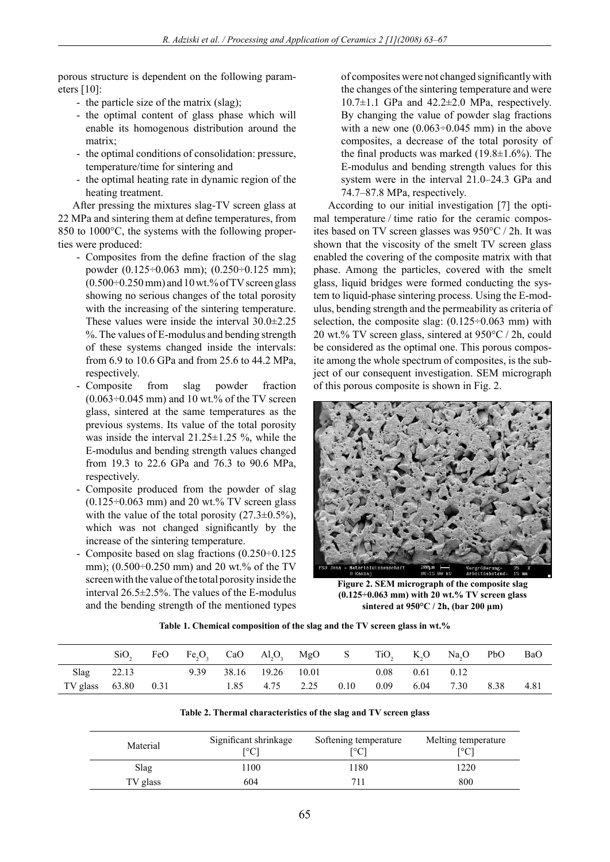porous structure is dependent on the following parameters [10]:

- the particle size of the matrix (slag);
- the optimal content of glass phase which will enable its homogenous distribution around the matrix;
- the optimal conditions of consolidation: pressure, temperature/time for sintering and
- the optimal heating rate in dynamic region of the heating treatment.

After pressing the mixtures slag-TV screen glass at 22 MPa and sintering them at define temperatures, from 850 to 1000°C, the systems with the following properties were produced:

- Composites from the define fraction of the slag powder (0.125÷0.063 mm); (0.250÷0.125 mm);  $(0.500\div0.250$  mm) and 10 wt.% of TV screen glass showing no serious changes of the total porosity with the increasing of the sintering temperature. These values were inside the interval 30.0±2.25 %. The values of E-modulus and bending strength of these systems changed inside the intervals: from 6.9 to 10.6 GPa and from 25.6 to 44.2 MPa, respectively.
- Composite from slag powder fraction  $(0.063\div0.045$  mm) and 10 wt.% of the TV screen glass, sintered at the same temperatures as the previous systems. Its value of the total porosity was inside the interval  $21.25 \pm 1.25$  %, while the E-modulus and bending strength values changed from 19.3 to 22.6 GPa and 76.3 to 90.6 MPa, respectively.
- Composite produced from the powder of slag  $(0.125\div0.063$  mm) and 20 wt.% TV screen glass with the value of the total porosity  $(27.3\pm0.5\%)$ , which was not changed significantly by the increase of the sintering temperature.
- Composite based on slag fractions (0.250÷0.125 mm); (0.500÷0.250 mm) and 20 wt.% of the TV screen with the value of the total porosity inside the interval 26.5±2.5%. The values of the E-modulus and the bending strength of the mentioned types

of composites were not changed significantly with the changes of the sintering temperature and were  $10.7\pm1.1$  GPa and  $42.2\pm2.0$  MPa, respectively. By changing the value of powder slag fractions with a new one  $(0.063 \div 0.045 \text{ mm})$  in the above composites, a decrease of the total porosity of the final products was marked  $(19.8\pm1.6\%)$ . The E-modulus and bending strength values for this system were in the interval 21.0–24.3 GPa and 74.7–87.8 MPa, respectively.

According to our initial investigation [7] the optimal temperature / time ratio for the ceramic composites based on TV screen glasses was 950°C / 2h. It was shown that the viscosity of the smelt TV screen glass enabled the covering of the composite matrix with that phase. Among the particles, covered with the smelt glass, liquid bridges were formed conducting the system to liquid-phase sintering process. Using the E-modulus, bending strength and the permeability as criteria of selection, the composite slag:  $(0.125 \div 0.063 \text{ mm})$  with 20 wt.% TV screen glass, sintered at 950°C / 2h, could be considered as the optimal one. This porous composite among the whole spectrum of composites, is the subject of our consequent investigation. SEM micrograph of this porous composite is shown in Fig. 2.



**Figure 2. SEM micrograph of the composite slag (0.125÷0.063 mm) with 20 wt.% TV screen glass sintered at 950°C / 2h, (bar 200 μm)**

|  | Table 1. Chemical composition of the slag and the TV screen glass in wt.% |  |  |  |
|--|---------------------------------------------------------------------------|--|--|--|

|                     | SiO,  | FeO | Fe,O, CaO Al,O, MgO S TiO, K,O Na,O PbO |                   |                |      |      |      |                    |      | <b>BaO</b> |
|---------------------|-------|-----|-----------------------------------------|-------------------|----------------|------|------|------|--------------------|------|------------|
| <b>Slag</b>         | 22.13 |     | 9.39                                    | 38.16 19.26 10.01 |                |      | 0.08 |      | $0.61 \qquad 0.12$ |      |            |
| TV glass 63.80 0.31 |       |     |                                         |                   | 1.85 4.75 2.25 | 0.10 | 0.09 | 6.04 | 7.30               | 8.38 | 4.81       |

| Table 2. Thermal characteristics of the slag and TV screen glass |  |  |
|------------------------------------------------------------------|--|--|
|------------------------------------------------------------------|--|--|

| Material | Significant shrinkage<br>[°C] | Softening temperature<br>Г°С1 | Melting temperature<br>[°C] |
|----------|-------------------------------|-------------------------------|-----------------------------|
| Slag     | 100                           | 1180                          | 1220                        |
| TV glass | 604                           | 711                           | 800                         |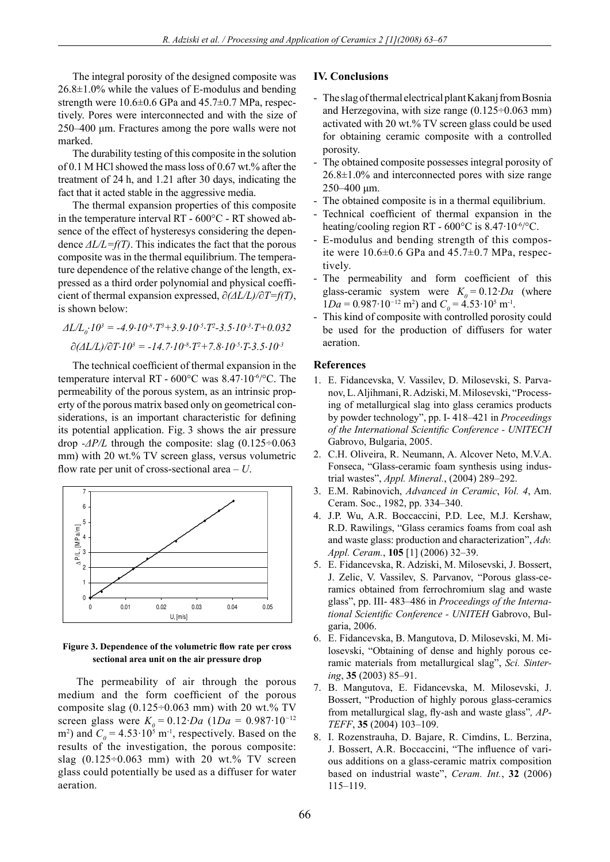The integral porosity of the designed composite was 26.8±1.0% while the values of E-modulus and bending strength were  $10.6\pm0.6$  GPa and  $45.7\pm0.7$  MPa, respectively. Pores were interconnected and with the size of 250–400 μm. Fractures among the pore walls were not marked.

The durability testing of this composite in the solution of 0.1 M HCl showed the mass loss of 0.67 wt.% after the treatment of 24 h, and 1.21 after 30 days, indicating the fact that it acted stable in the aggressive media.

The thermal expansion properties of this composite in the temperature interval RT - 600°C - RT showed absence of the effect of hysteresys considering the dependence *ΔL/L=f(T)*. This indicates the fact that the porous composite was in the thermal equilibrium. The temperature dependence of the relative change of the length, expressed as a third order polynomial and physical coeffi cient of thermal expansion expressed, ∂*(ΔL/L)/*∂*T=f(T)*, is shown below:

$$
\Delta L/L_0 \cdot 10^3 = -4.9 \cdot 10^{-8} \cdot T^3 + 3.9 \cdot 10^{-5} \cdot T^2 - 3.5 \cdot 10^{-3} \cdot T + 0.032
$$
  

$$
\partial (\Delta L/L)/\partial T \cdot 10^3 = -14.7 \cdot 10^{-8} \cdot T^2 + 7.8 \cdot 10^{-5} \cdot T - 3.5 \cdot 10^{-3}
$$

The technical coefficient of thermal expansion in the temperature interval RT - 600°C was 8.47⋅10-6/°C. The permeability of the porous system, as an intrinsic property of the porous matrix based only on geometrical considerations, is an important characteristic for defining its potential application. Fig. 3 shows the air pressure drop *-ΔP/L* through the composite: slag (0.125÷0.063 mm) with 20 wt.% TV screen glass, versus volumetric flow rate per unit of cross-sectional area  $- U$ .



### Figure 3. Dependence of the volumetric flow rate per cross **sectional area unit on the air pressure drop**

The permeability of air through the porous medium and the form coefficient of the porous composite slag  $(0.125 \div 0.063$  mm) with 20 wt.% TV screen glass were  $K_0 = 0.12 \cdot Da$  (1*Da* = 0.987 $\cdot 10^{-12}$ ) m<sup>2</sup>) and  $C_0 = 4.53 \cdot 10^5$  m<sup>-1</sup>, respectively. Based on the results of the investigation, the porous composite: slag  $(0.125 \div 0.063$  mm) with 20 wt.% TV screen glass could potentially be used as a diffuser for water aeration.

# **IV. Conclusions**

- The slag of thermal electrical plant Kakanj from Bosnia and Herzegovina, with size range  $(0.125 \div 0.063 \text{ mm})$ activated with 20 wt.% TV screen glass could be used for obtaining ceramic composite with a controlled porosity.
- The obtained composite possesses integral porosity of  $26.8\pm1.0\%$  and interconnected pores with size range 250–400 μm.
- The obtained composite is in a thermal equilibrium.
- Technical coefficient of thermal expansion in the heating/cooling region RT -  $600^{\circ}$ C is  $8.47 \cdot 10^{-6}$ °C.
- E-modulus and bending strength of this composite were  $10.6\pm0.6$  GPa and  $45.7\pm0.7$  MPa, respectively.
- The permeability and form coefficient of this glass-ceramic system were  $K_0 = 0.12 \cdot Da$  (where  $1Da = 0.987 \cdot 10^{-12}$  m<sup>2</sup>) and  $C_0 = 4.53 \cdot 10^5$  m<sup>-1</sup>.
- This kind of composite with controlled porosity could be used for the production of diffusers for water aeration.

# **References**

- 1. E. Fidancevska, V. Vassilev, D. Milosevski, S. Parvanov, L. Aljihmani, R. Adziski, M. Milosevski, "Processing of metallurgical slag into glass ceramics products by powder technology", pp. I- 418–421 in *Proceedings of the International Scientific Conference - UNITECH* Gabrovo, Bulgaria, 2005.
- 2. C.H. Oliveira, R. Neumann, A. Alcover Neto, M.V.A. Fonseca, "Glass-ceramic foam synthesis using industrial wastes", *Appl. Mineral.*, (2004) 289–292.
- 3. E.M. Rabinovich, *Advanced in Ceramic*, *Vol. 4*, Am. Ceram. Soc., 1982, pp. 334–340.
- 4. J.P. Wu, A.R. Boccaccini, P.D. Lee, M.J. Kershaw, R.D. Rawilings, "Glass ceramics foams from coal ash and waste glass: production and characterization", *Adv. Appl. Ceram.*, **105** [1] (2006) 32–39.
- 5. E. Fidancevska, R. Adziski, M. Milosevski, J. Bossert, J. Zelic, V. Vassilev, S. Parvanov, "Porous glass-ceramics obtained from ferrochromium slag and waste glass", pp. III- 483–486 in *Proceedings of the International Scientific Conference - UNITEH Gabrovo, Bul*garia, 2006.
- 6. E. Fidancevska, B. Mangutova, D. Milosevski, M. Milosevski, "Obtaining of dense and highly porous ceramic materials from metallurgical slag", *Sci. Sintering*, **35** (2003) 85–91.
- 7. B. Mangutova, E. Fidancevska, M. Milosevski, J. Bossert, "Production of highly porous glass-ceramics from metallurgical slag, fly-ash and waste glass", AP-*TEFF*, **35** (2004) 103–109.
- 8. I. Rozenstrauha, D. Bajare, R. Cimdins, L. Berzina, J. Bossert, A.R. Boccaccini, "The influence of various additions on a glass-ceramic matrix composition based on industrial waste", *Ceram. Int.*, **32** (2006) 115–119.